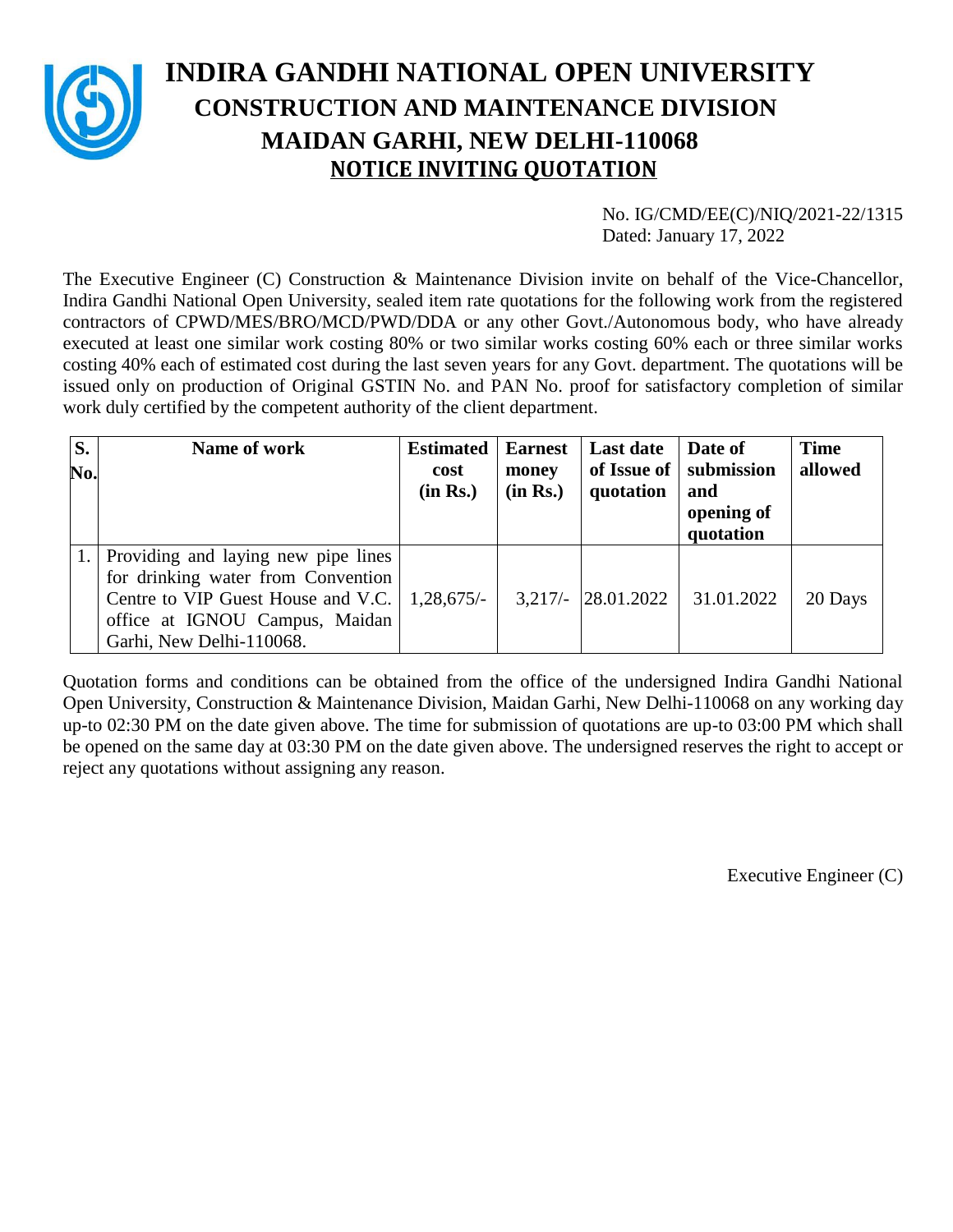

# **INDIRA GANDHI NATIONAL OPEN UNIVERSITY CONSTRUCTION AND MAINTENANCE DIVISION MAIDAN GARHI, NEW DELHI-110068 NOTICE INVITING QUOTATION**

No. IG/CMD/EE(C)/NIQ/2021-22/1315 Dated: January 17, 2022

The Executive Engineer (C) Construction & Maintenance Division invite on behalf of the Vice-Chancellor, Indira Gandhi National Open University, sealed item rate quotations for the following work from the registered contractors of CPWD/MES/BRO/MCD/PWD/DDA or any other Govt./Autonomous body, who have already executed at least one similar work costing 80% or two similar works costing 60% each or three similar works costing 40% each of estimated cost during the last seven years for any Govt. department. The quotations will be issued only on production of Original GSTIN No. and PAN No. proof for satisfactory completion of similar work duly certified by the competent authority of the client department.

| S.  | Name of work                        | <b>Estimated</b> | <b>Earnest</b> | <b>Last date</b>      | Date of                  | <b>Time</b> |
|-----|-------------------------------------|------------------|----------------|-----------------------|--------------------------|-------------|
| No. |                                     | cost             | money          |                       | of Issue of   submission | allowed     |
|     |                                     | (in Rs.)         | (in Rs.)       | quotation             | and                      |             |
|     |                                     |                  |                |                       | opening of               |             |
|     |                                     |                  |                |                       | quotation                |             |
|     | Providing and laying new pipe lines |                  |                |                       |                          |             |
|     | for drinking water from Convention  |                  |                |                       |                          |             |
|     | Centre to VIP Guest House and V.C.  | $1,28,675/-$     |                | $3,217/ - 28.01.2022$ | 31.01.2022               | 20 Days     |
|     | office at IGNOU Campus, Maidan      |                  |                |                       |                          |             |
|     | Garhi, New Delhi-110068.            |                  |                |                       |                          |             |

Quotation forms and conditions can be obtained from the office of the undersigned Indira Gandhi National Open University, Construction & Maintenance Division, Maidan Garhi, New Delhi-110068 on any working day up-to 02:30 PM on the date given above. The time for submission of quotations are up-to 03:00 PM which shall be opened on the same day at 03:30 PM on the date given above. The undersigned reserves the right to accept or reject any quotations without assigning any reason.

Executive Engineer (C)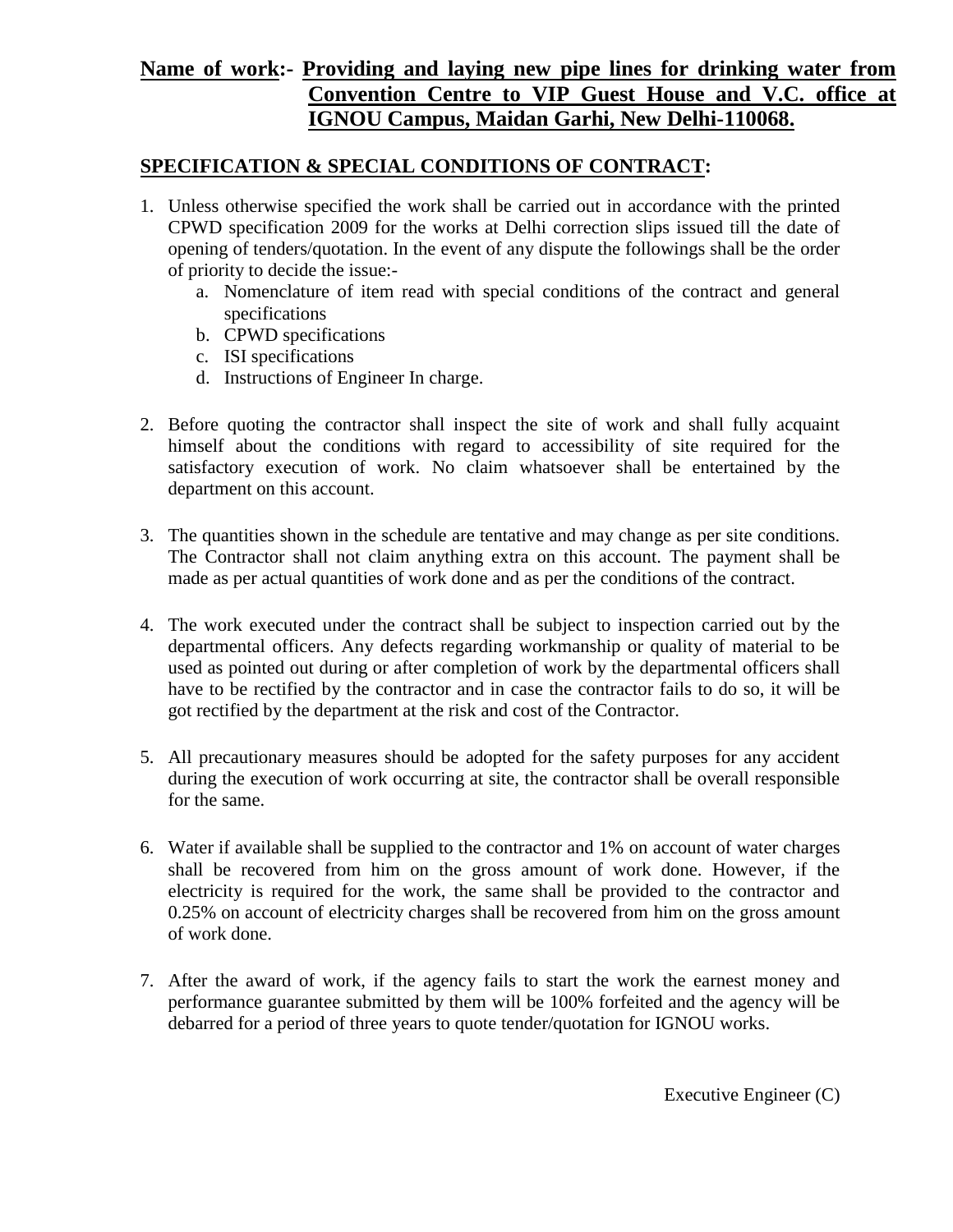### **Name of work:- Providing and laying new pipe lines for drinking water from Convention Centre to VIP Guest House and V.C. office at IGNOU Campus, Maidan Garhi, New Delhi-110068.**

#### **SPECIFICATION & SPECIAL CONDITIONS OF CONTRACT:**

- 1. Unless otherwise specified the work shall be carried out in accordance with the printed CPWD specification 2009 for the works at Delhi correction slips issued till the date of opening of tenders/quotation. In the event of any dispute the followings shall be the order of priority to decide the issue:
	- a. Nomenclature of item read with special conditions of the contract and general specifications
	- b. CPWD specifications
	- c. ISI specifications
	- d. Instructions of Engineer In charge.
- 2. Before quoting the contractor shall inspect the site of work and shall fully acquaint himself about the conditions with regard to accessibility of site required for the satisfactory execution of work. No claim whatsoever shall be entertained by the department on this account.
- 3. The quantities shown in the schedule are tentative and may change as per site conditions. The Contractor shall not claim anything extra on this account. The payment shall be made as per actual quantities of work done and as per the conditions of the contract.
- 4. The work executed under the contract shall be subject to inspection carried out by the departmental officers. Any defects regarding workmanship or quality of material to be used as pointed out during or after completion of work by the departmental officers shall have to be rectified by the contractor and in case the contractor fails to do so, it will be got rectified by the department at the risk and cost of the Contractor.
- 5. All precautionary measures should be adopted for the safety purposes for any accident during the execution of work occurring at site, the contractor shall be overall responsible for the same.
- 6. Water if available shall be supplied to the contractor and 1% on account of water charges shall be recovered from him on the gross amount of work done. However, if the electricity is required for the work, the same shall be provided to the contractor and 0.25% on account of electricity charges shall be recovered from him on the gross amount of work done.
- 7. After the award of work, if the agency fails to start the work the earnest money and performance guarantee submitted by them will be 100% forfeited and the agency will be debarred for a period of three years to quote tender/quotation for IGNOU works.